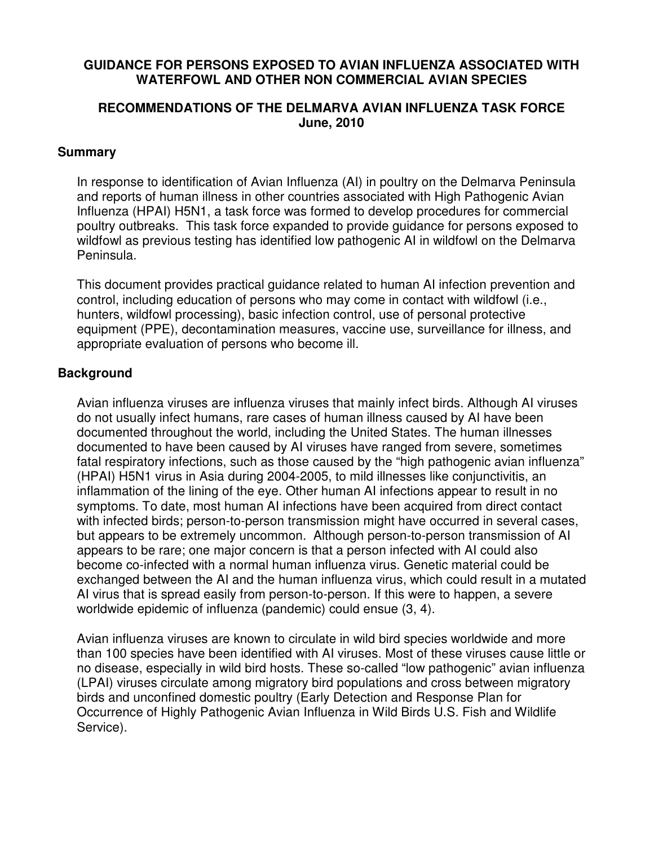### **GUIDANCE FOR PERSONS EXPOSED TO AVIAN INFLUENZA ASSOCIATED WITH WATERFOWL AND OTHER NON COMMERCIAL AVIAN SPECIES**

### **RECOMMENDATIONS OF THE DELMARVA AVIAN INFLUENZA TASK FORCE June, 2010**

### **Summary**

In response to identification of Avian Influenza (AI) in poultry on the Delmarva Peninsula and reports of human illness in other countries associated with High Pathogenic Avian Influenza (HPAI) H5N1, a task force was formed to develop procedures for commercial poultry outbreaks. This task force expanded to provide guidance for persons exposed to wildfowl as previous testing has identified low pathogenic AI in wildfowl on the Delmarva Peninsula.

This document provides practical guidance related to human AI infection prevention and control, including education of persons who may come in contact with wildfowl (i.e., hunters, wildfowl processing), basic infection control, use of personal protective equipment (PPE), decontamination measures, vaccine use, surveillance for illness, and appropriate evaluation of persons who become ill.

### **Background**

Avian influenza viruses are influenza viruses that mainly infect birds. Although AI viruses do not usually infect humans, rare cases of human illness caused by AI have been documented throughout the world, including the United States. The human illnesses documented to have been caused by AI viruses have ranged from severe, sometimes fatal respiratory infections, such as those caused by the "high pathogenic avian influenza" (HPAI) H5N1 virus in Asia during 2004-2005, to mild illnesses like conjunctivitis, an inflammation of the lining of the eye. Other human AI infections appear to result in no symptoms. To date, most human AI infections have been acquired from direct contact with infected birds; person-to-person transmission might have occurred in several cases, but appears to be extremely uncommon. Although person-to-person transmission of AI appears to be rare; one major concern is that a person infected with AI could also become co-infected with a normal human influenza virus. Genetic material could be exchanged between the AI and the human influenza virus, which could result in a mutated AI virus that is spread easily from person-to-person. If this were to happen, a severe worldwide epidemic of influenza (pandemic) could ensue (3, 4).

Avian influenza viruses are known to circulate in wild bird species worldwide and more than 100 species have been identified with AI viruses. Most of these viruses cause little or no disease, especially in wild bird hosts. These so-called "low pathogenic" avian influenza (LPAI) viruses circulate among migratory bird populations and cross between migratory birds and unconfined domestic poultry (Early Detection and Response Plan for Occurrence of Highly Pathogenic Avian Influenza in Wild Birds U.S. Fish and Wildlife Service).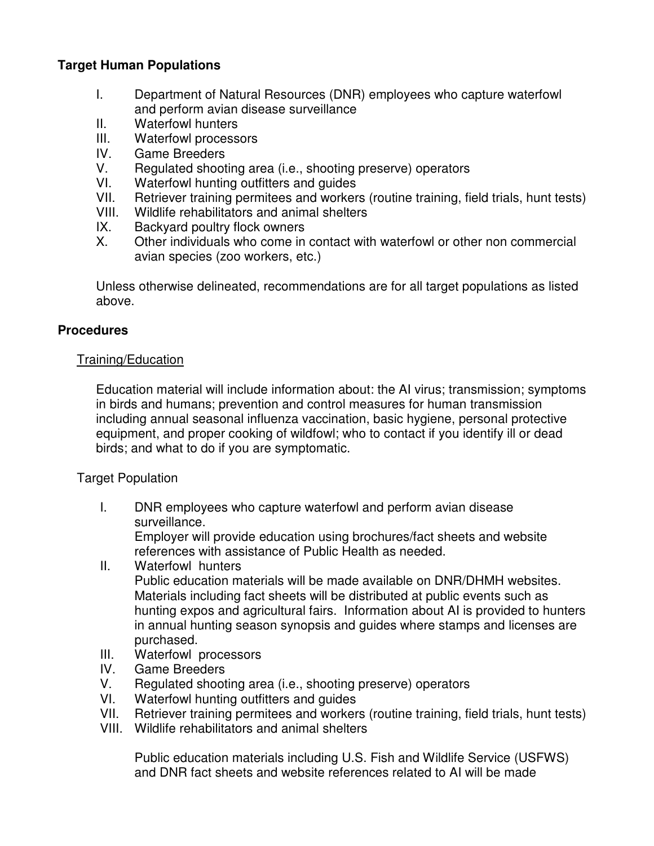# **Target Human Populations**

- I. Department of Natural Resources (DNR) employees who capture waterfowl and perform avian disease surveillance
- II. Waterfowl hunters
- III. Waterfowl processors
- IV. Game Breeders
- V. Regulated shooting area (i.e., shooting preserve) operators<br>VI. Waterfowl hunting outfitters and quides
- Waterfowl hunting outfitters and guides
- VII. Retriever training permitees and workers (routine training, field trials, hunt tests)
- VIII. Wildlife rehabilitators and animal shelters
- IX. Backyard poultry flock owners
- X. Other individuals who come in contact with waterfowl or other non commercial avian species (zoo workers, etc.)

Unless otherwise delineated, recommendations are for all target populations as listed above.

### **Procedures**

### Training/Education

Education material will include information about: the AI virus; transmission; symptoms in birds and humans; prevention and control measures for human transmission including annual seasonal influenza vaccination, basic hygiene, personal protective equipment, and proper cooking of wildfowl; who to contact if you identify ill or dead birds; and what to do if you are symptomatic.

### Target Population

I. DNR employees who capture waterfowl and perform avian disease surveillance.

Employer will provide education using brochures/fact sheets and website references with assistance of Public Health as needed.

II. Waterfowl hunters Public education materials will be made available on DNR/DHMH websites. Materials including fact sheets will be distributed at public events such as hunting expos and agricultural fairs. Information about AI is provided to hunters

in annual hunting season synopsis and guides where stamps and licenses are purchased.

- III. Waterfowl processors
- IV. Game Breeders
- V. Regulated shooting area (i.e., shooting preserve) operators
- VI. Waterfowl hunting outfitters and guides
- VII. Retriever training permitees and workers (routine training, field trials, hunt tests)
- VIII. Wildlife rehabilitators and animal shelters

Public education materials including U.S. Fish and Wildlife Service (USFWS) and DNR fact sheets and website references related to AI will be made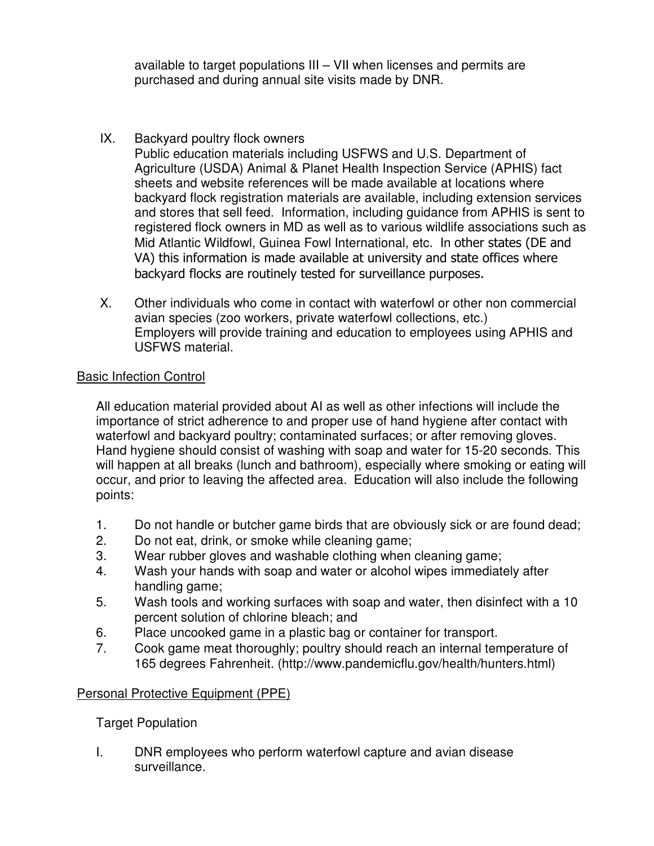available to target populations III – VII when licenses and permits are purchased and during annual site visits made by DNR.

# IX. Backyard poultry flock owners

Public education materials including USFWS and U.S. Department of Agriculture (USDA) Animal & Planet Health Inspection Service (APHIS) fact sheets and website references will be made available at locations where backyard flock registration materials are available, including extension services and stores that sell feed. Information, including guidance from APHIS is sent to registered flock owners in MD as well as to various wildlife associations such as Mid Atlantic Wildfowl, Guinea Fowl International, etc. In other states (DE and VA) this information is made available at university and state offices where backyard flocks are routinely tested for surveillance purposes.

X. Other individuals who come in contact with waterfowl or other non commercial avian species (zoo workers, private waterfowl collections, etc.) Employers will provide training and education to employees using APHIS and USFWS material.

### Basic Infection Control

All education material provided about AI as well as other infections will include the importance of strict adherence to and proper use of hand hygiene after contact with waterfowl and backyard poultry; contaminated surfaces; or after removing gloves. Hand hygiene should consist of washing with soap and water for 15-20 seconds. This will happen at all breaks (lunch and bathroom), especially where smoking or eating will occur, and prior to leaving the affected area. Education will also include the following points:

- 1. Do not handle or butcher game birds that are obviously sick or are found dead;
- 2. Do not eat, drink, or smoke while cleaning game;
- 3. Wear rubber gloves and washable clothing when cleaning game;
- 4. Wash your hands with soap and water or alcohol wipes immediately after handling game;
- 5. Wash tools and working surfaces with soap and water, then disinfect with a 10 percent solution of chlorine bleach; and
- 6. Place uncooked game in a plastic bag or container for transport.
- 7. Cook game meat thoroughly; poultry should reach an internal temperature of 165 degrees Fahrenheit. (http://www.pandemicflu.gov/health/hunters.html)

### Personal Protective Equipment (PPE)

### Target Population

I. DNR employees who perform waterfowl capture and avian disease surveillance.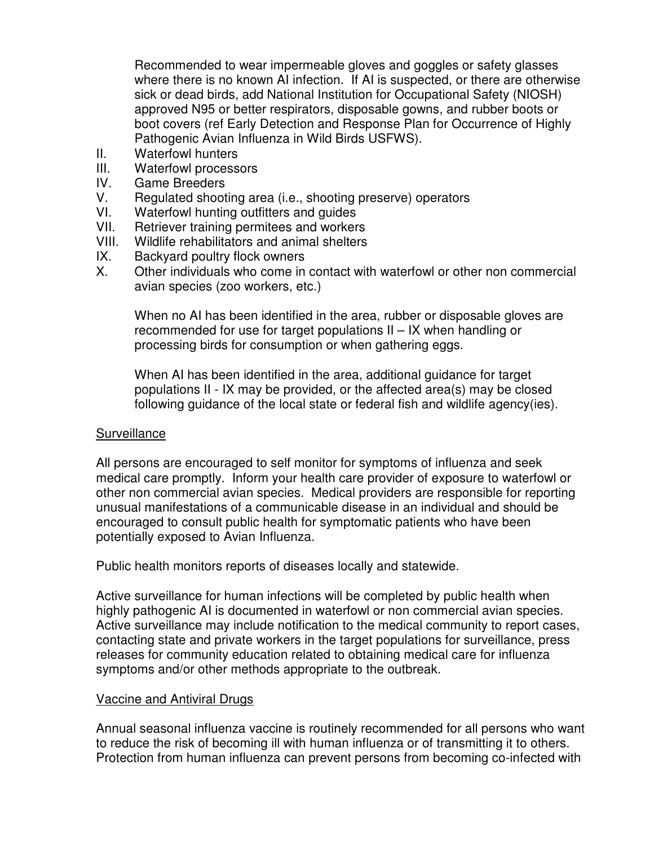Recommended to wear impermeable gloves and goggles or safety glasses where there is no known AI infection. If AI is suspected, or there are otherwise sick or dead birds, add National Institution for Occupational Safety (NIOSH) approved N95 or better respirators, disposable gowns, and rubber boots or boot covers (ref Early Detection and Response Plan for Occurrence of Highly Pathogenic Avian Influenza in Wild Birds USFWS).

- II. Waterfowl hunters
- III. Waterfowl processors
- IV. Game Breeders<br>V. Regulated shoot
- Regulated shooting area (i.e., shooting preserve) operators
- VI. Waterfowl hunting outfitters and guides
- VII. Retriever training permitees and workers
- VIII. Wildlife rehabilitators and animal shelters
- IX. Backyard poultry flock owners<br>X. Other individuals who come in
- Other individuals who come in contact with waterfowl or other non commercial avian species (zoo workers, etc.)

When no AI has been identified in the area, rubber or disposable gloves are recommended for use for target populations II – IX when handling or processing birds for consumption or when gathering eggs.

When AI has been identified in the area, additional guidance for target populations II - IX may be provided, or the affected area(s) may be closed following guidance of the local state or federal fish and wildlife agency(ies).

### Surveillance

All persons are encouraged to self monitor for symptoms of influenza and seek medical care promptly. Inform your health care provider of exposure to waterfowl or other non commercial avian species. Medical providers are responsible for reporting unusual manifestations of a communicable disease in an individual and should be encouraged to consult public health for symptomatic patients who have been potentially exposed to Avian Influenza.

Public health monitors reports of diseases locally and statewide.

Active surveillance for human infections will be completed by public health when highly pathogenic AI is documented in waterfowl or non commercial avian species. Active surveillance may include notification to the medical community to report cases, contacting state and private workers in the target populations for surveillance, press releases for community education related to obtaining medical care for influenza symptoms and/or other methods appropriate to the outbreak.

### Vaccine and Antiviral Drugs

Annual seasonal influenza vaccine is routinely recommended for all persons who want to reduce the risk of becoming ill with human influenza or of transmitting it to others. Protection from human influenza can prevent persons from becoming co-infected with